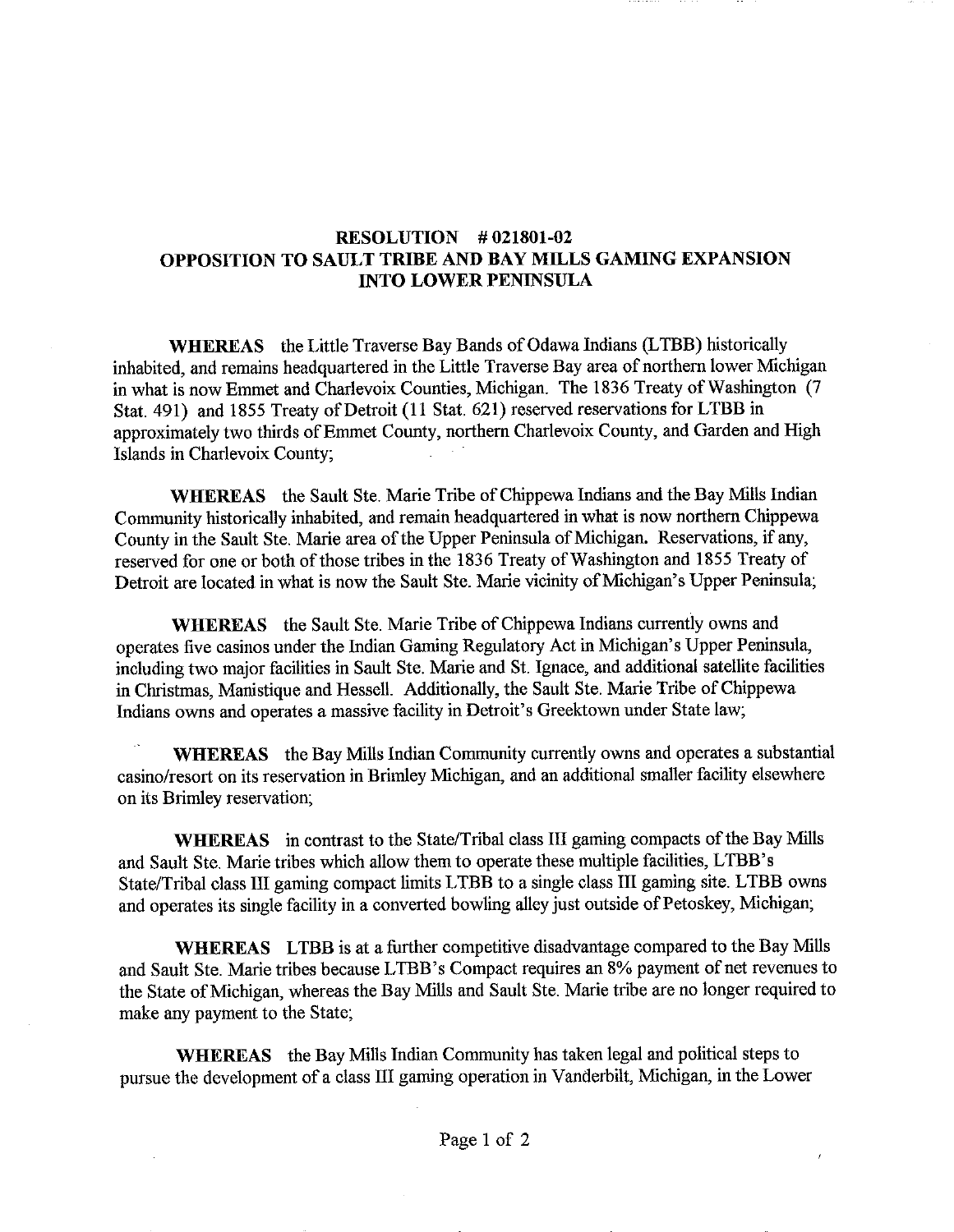## RESOLUTION # 021801-02 OPPOSITION TO SAULT TRIBE AND BAY MILLS GAMING EXPANSION INTO LOWER PENINSULA

WHEREAS the Little Traverse Bay Bands of Odawa Indians (LTBB) historically inhabited, and remains headquartered in the Little Traverse Bay area of northern lower Michigan in what is now Emmet and Charlevoix Counties, Michigan. The 1836 Treaty of Washington (7 Stat. 491) and 1855 Treaty of Detroit (11 Stat. 621) reserved reservations for LTBB in approximately two thirds of Emmet County, northern Charlevoix County, and Garden and High Islands in Charlevoix County;

WHEREAS the Sault Ste. Marie Tribe of Chippewa Indians and the Bay Mills Indian Community historically inhabited, and remain headquartered in what is now northern Chippewa County in the Sault Ste. Marie area of the Upper Peninsula of Michigan. Reservations, if any, reserved for one or both of those tribes in the 1836 Treaty of Washington and 1855 Treaty of Detroit are located in what is now the Sault Ste. Marie vicinity of Michigan's Upper Peninsula;

WHEREAS the Sault Ste. Marie Tribe of Chippewa Indians currently owns and operates five casinos under the Indian Gaming Regulatory Act in Michigan's Upper Peninsula, including two major facilities in Sault Ste. Marie and St. Ignace, and additional satellite facilities in Christmas, Manistique and Hessell. Additionally, the Sault Ste. Marie Tribe of Chippewa Indians owns and operates a massive facility in Detroit's Greektown under State law;

WHEREAS the Bay Mills Indian Community currently owns and operates a substantial casino/resort on its reservation in Brimley Michigan, and an additional smaller facility elsewhere on its Brimley reservation;

WHEREAS in contrast to the State/Tribal class III gaming compacts of the Bay Mills and Sault Ste. Marie tribes which allow them to operate these multiple facilities, LTBB's State/Tribal class III gaming compact limits LTBB to a single class III gaming site. LTBB owns and operates its single facility in a converted bowling alley just outside of Petoskey, Michigan;

WHEREAS LTBB is at a further competitive disadvantage compared to the Bay Mills and Sault Ste. Marie tribes because LTBB's Compact requires an 8% payment of net revenues to the State of Michigan, whereas the Bay Mills and Sault Ste. Marie tribe are no longer required to make any payment to the State;

WHEREAS the Bay Mills Indian Community has taken legal and political steps to pursue the development of a class III gaming operation in Vanderbilt, Michigan, in the Lower